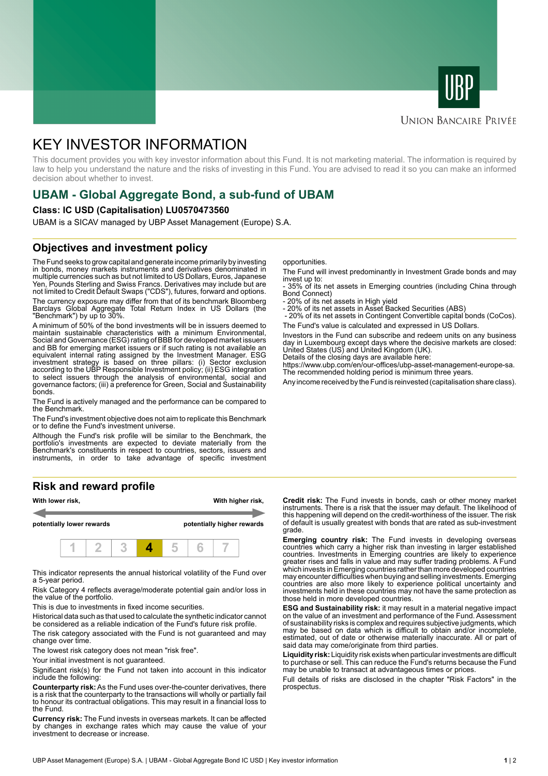



#### **UNION BANCAIRE PRIVÉE**

# KEY INVESTOR INFORMATION

This document provides you with key investor information about this Fund. It is not marketing material. The information is required by law to help you understand the nature and the risks of investing in this Fund. You are advised to read it so you can make an informed decision about whether to invest.

# **UBAM - Global Aggregate Bond, a sub-fund of UBAM**

#### **Class: IC USD (Capitalisation) LU0570473560**

UBAM is a SICAV managed by UBP Asset Management (Europe) S.A.

### **Objectives and investment policy**

The Fund seeks to grow capital and generate income primarily by investing in bonds, money markets instruments and derivatives denominated in multiple currencies such as but not limited to US Dollars, Euros, Japanese Yen, Pounds Sterling and Swiss Francs. Derivatives may include but are not limited to Credit Default Swaps ("CDS"), futures, forward and options.

The currency exposure may differ from that of its benchmark Bloomberg Barclays Global Aggregate Total Return Index in US Dollars (the "Benchmark") by up to 30%.

A minimum of 50% of the bond investments will be in issuers deemed to maintain sustainable characteristics with a minimum Environmental, Social and Governance (ESG) rating of BBB for developed market issuers and BB for emerging market issuers or if such rating is not available an equivalent internal rating assigned by the Investment Manager. ESG investment strategy is based on three pillars: (i) Sector exclusion according to the UBP Responsible Investment policy; (ii) ESG integration to select issuers through the analysis of environmental, social and governance factors; (iii) a preference for Green, Social and Sustainability bonds.

The Fund is actively managed and the performance can be compared to the Benchmark.

The Fund's investment objective does not aim to replicate this Benchmark or to define the Fund's investment universe.

Although the Fund's risk profile will be similar to the Benchmark, the portfolio's investments are expected to deviate materially from the Benchmark's constituents in respect to countries, sectors, issuers and instruments, in order to take advantage of specific investment

#### **Risk and reward profile**



This indicator represents the annual historical volatility of the Fund over a 5-year period.

Risk Category 4 reflects average/moderate potential gain and/or loss in the value of the portfolio.

This is due to investments in fixed income securities.

Historical data such as that used to calculate the synthetic indicator cannot be considered as a reliable indication of the Fund's future risk profile.

The risk category associated with the Fund is not guaranteed and may change over time.

The lowest risk category does not mean "risk free".

Your initial investment is not quaranteed.

Significant risk(s) for the Fund not taken into account in this indicator include the following:

**Counterparty risk:** As the Fund uses over-the-counter derivatives, there is a risk that the counterparty to the transactions will wholly or partially fail to honour its contractual obligations. This may result in a financial loss to the Fund.

**Currency risk:** The Fund invests in overseas markets. It can be affected by changes in exchange rates which may cause the value of your investment to decrease or increase.

opportunities.

The Fund will invest predominantly in Investment Grade bonds and may invest up to:

- 35% of its net assets in Emerging countries (including China through Bond Connect)

- 20% of its net assets in High yield

- 20% of its net assets in Asset Backed Securities (ABS)

 - 20% of its net assets in Contingent Convertible capital bonds (CoCos). The Fund's value is calculated and expressed in US Dollars.

Investors in the Fund can subscribe and redeem units on any business day in Luxembourg except days where the decisive markets are closed: United States (US) and United Kingdom (UK).

Details of the closing days are available here:

https://www.ubp.com/en/our-offices/ubp-asset-management-europe-sa. The recommended holding period is minimum three years.

Any income received by the Fund is reinvested (capitalisation share class).

**Credit risk:** The Fund invests in bonds, cash or other money market instruments. There is a risk that the issuer may default. The likelihood of this happening will depend on the credit-worthiness of the issuer. The risk of default is usually greatest with bonds that are rated as sub-investment grade.

**Emerging country risk:** The Fund invests in developing overseas countries which carry a higher risk than investing in larger established countries. Investments in Emerging countries are likely to experience greater rises and falls in value and may suffer trading problems. A Fund which invests in Emerging countries rather than more developed countries may encounter difficulties when buying and selling investments. Emerging countries are also more likely to experience political uncertainty and investments held in these countries may not have the same protection as those held in more developed countries.

**ESG and Sustainability risk:** it may result in a material negative impact on the value of an investment and performance of the Fund. Assessment of sustainability risks is complex and requires subjective judgments, which may be based on data which is difficult to obtain and/or incomplete, estimated, out of date or otherwise materially inaccurate. All or part of said data may come/originate from third parties.

**Liquidity risk:** Liquidity risk exists when particular investments are difficult to purchase or sell. This can reduce the Fund's returns because the Fund may be unable to transact at advantageous times or prices.

Full details of risks are disclosed in the chapter "Risk Factors" in the prospectus.